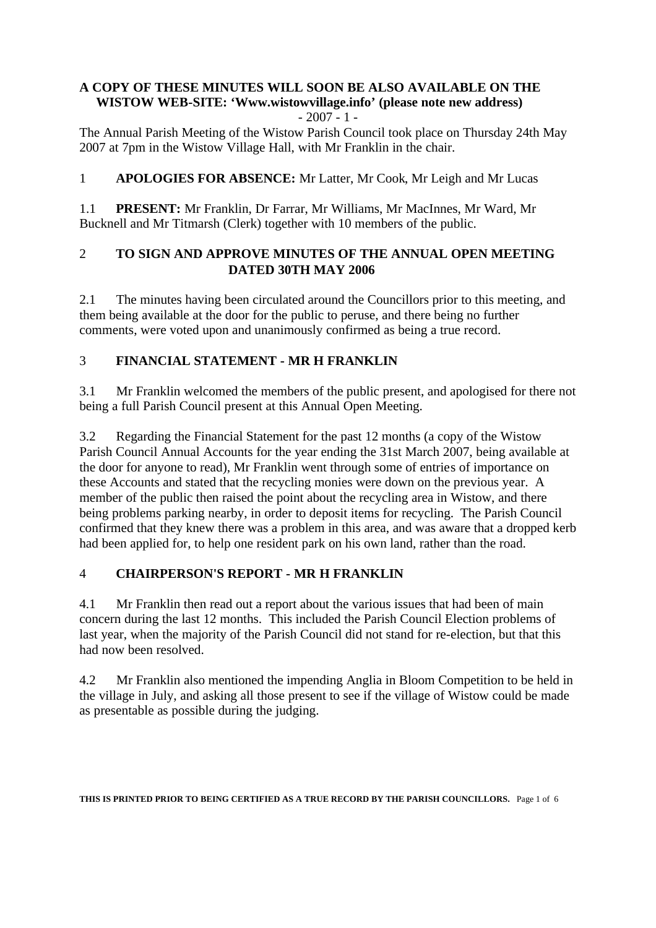#### **A COPY OF THESE MINUTES WILL SOON BE ALSO AVAILABLE ON THE WISTOW WEB-SITE: 'Www.wistowvillage.info' (please note new address)**  $-2007 - 1 -$

The Annual Parish Meeting of the Wistow Parish Council took place on Thursday 24th May 2007 at 7pm in the Wistow Village Hall, with Mr Franklin in the chair.

## 1 **APOLOGIES FOR ABSENCE:** Mr Latter, Mr Cook, Mr Leigh and Mr Lucas

1.1 **PRESENT:** Mr Franklin, Dr Farrar, Mr Williams, Mr MacInnes, Mr Ward, Mr Bucknell and Mr Titmarsh (Clerk) together with 10 members of the public.

#### 2 **TO SIGN AND APPROVE MINUTES OF THE ANNUAL OPEN MEETING DATED 30TH MAY 2006**

2.1 The minutes having been circulated around the Councillors prior to this meeting, and them being available at the door for the public to peruse, and there being no further comments, were voted upon and unanimously confirmed as being a true record.

## 3 **FINANCIAL STATEMENT - MR H FRANKLIN**

3.1 Mr Franklin welcomed the members of the public present, and apologised for there not being a full Parish Council present at this Annual Open Meeting.

3.2 Regarding the Financial Statement for the past 12 months (a copy of the Wistow Parish Council Annual Accounts for the year ending the 31st March 2007, being available at the door for anyone to read), Mr Franklin went through some of entries of importance on these Accounts and stated that the recycling monies were down on the previous year. A member of the public then raised the point about the recycling area in Wistow, and there being problems parking nearby, in order to deposit items for recycling. The Parish Council confirmed that they knew there was a problem in this area, and was aware that a dropped kerb had been applied for, to help one resident park on his own land, rather than the road.

# 4 **CHAIRPERSON'S REPORT - MR H FRANKLIN**

4.1 Mr Franklin then read out a report about the various issues that had been of main concern during the last 12 months. This included the Parish Council Election problems of last year, when the majority of the Parish Council did not stand for re-election, but that this had now been resolved.

4.2 Mr Franklin also mentioned the impending Anglia in Bloom Competition to be held in the village in July, and asking all those present to see if the village of Wistow could be made as presentable as possible during the judging.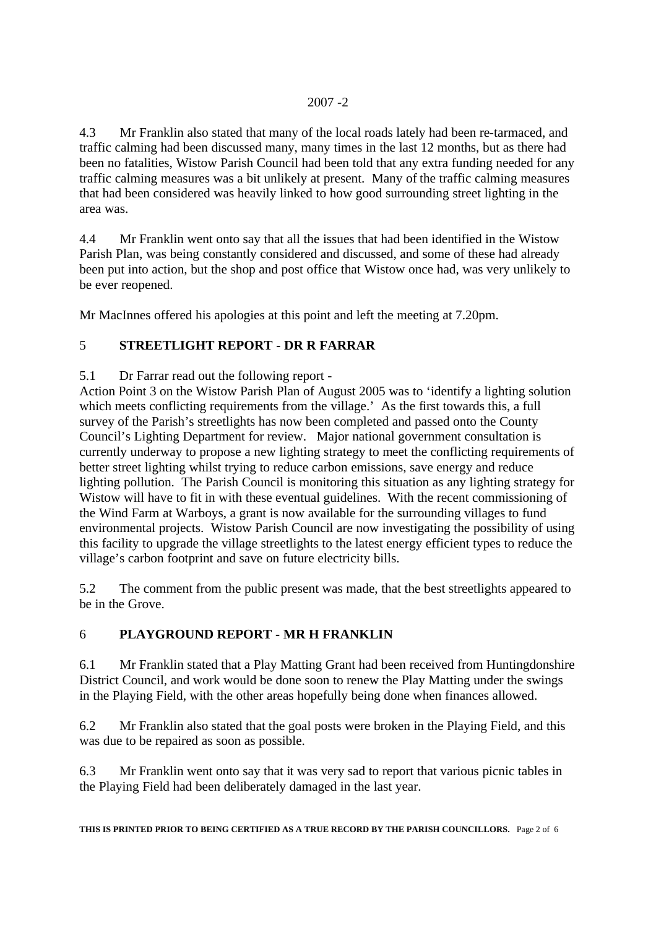4.3 Mr Franklin also stated that many of the local roads lately had been re-tarmaced, and traffic calming had been discussed many, many times in the last 12 months, but as there had been no fatalities, Wistow Parish Council had been told that any extra funding needed for any traffic calming measures was a bit unlikely at present. Many of the traffic calming measures that had been considered was heavily linked to how good surrounding street lighting in the area was.

4.4 Mr Franklin went onto say that all the issues that had been identified in the Wistow Parish Plan, was being constantly considered and discussed, and some of these had already been put into action, but the shop and post office that Wistow once had, was very unlikely to be ever reopened.

Mr MacInnes offered his apologies at this point and left the meeting at 7.20pm.

## 5 **STREETLIGHT REPORT - DR R FARRAR**

5.1 Dr Farrar read out the following report -

Action Point 3 on the Wistow Parish Plan of August 2005 was to 'identify a lighting solution which meets conflicting requirements from the village.' As the first towards this, a full survey of the Parish's streetlights has now been completed and passed onto the County Council's Lighting Department for review. Major national government consultation is currently underway to propose a new lighting strategy to meet the conflicting requirements of better street lighting whilst trying to reduce carbon emissions, save energy and reduce lighting pollution. The Parish Council is monitoring this situation as any lighting strategy for Wistow will have to fit in with these eventual guidelines. With the recent commissioning of the Wind Farm at Warboys, a grant is now available for the surrounding villages to fund environmental projects. Wistow Parish Council are now investigating the possibility of using this facility to upgrade the village streetlights to the latest energy efficient types to reduce the village's carbon footprint and save on future electricity bills.

5.2 The comment from the public present was made, that the best streetlights appeared to be in the Grove.

# 6 **PLAYGROUND REPORT - MR H FRANKLIN**

6.1 Mr Franklin stated that a Play Matting Grant had been received from Huntingdonshire District Council, and work would be done soon to renew the Play Matting under the swings in the Playing Field, with the other areas hopefully being done when finances allowed.

6.2 Mr Franklin also stated that the goal posts were broken in the Playing Field, and this was due to be repaired as soon as possible.

6.3 Mr Franklin went onto say that it was very sad to report that various picnic tables in the Playing Field had been deliberately damaged in the last year.

**THIS IS PRINTED PRIOR TO BEING CERTIFIED AS A TRUE RECORD BY THE PARISH COUNCILLORS.** Page 2 of 6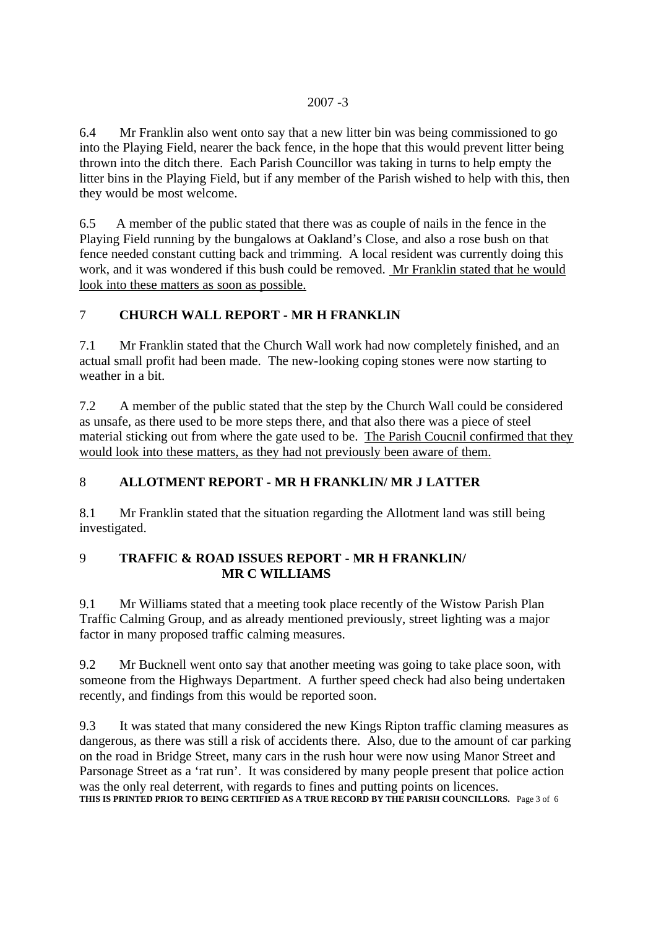6.4 Mr Franklin also went onto say that a new litter bin was being commissioned to go into the Playing Field, nearer the back fence, in the hope that this would prevent litter being thrown into the ditch there. Each Parish Councillor was taking in turns to help empty the litter bins in the Playing Field, but if any member of the Parish wished to help with this, then they would be most welcome.

6.5 A member of the public stated that there was as couple of nails in the fence in the Playing Field running by the bungalows at Oakland's Close, and also a rose bush on that fence needed constant cutting back and trimming. A local resident was currently doing this work, and it was wondered if this bush could be removed. Mr Franklin stated that he would look into these matters as soon as possible.

## 7 **CHURCH WALL REPORT - MR H FRANKLIN**

7.1 Mr Franklin stated that the Church Wall work had now completely finished, and an actual small profit had been made. The new-looking coping stones were now starting to weather in a bit.

7.2 A member of the public stated that the step by the Church Wall could be considered as unsafe, as there used to be more steps there, and that also there was a piece of steel material sticking out from where the gate used to be. The Parish Coucnil confirmed that they would look into these matters, as they had not previously been aware of them.

# 8 **ALLOTMENT REPORT - MR H FRANKLIN/ MR J LATTER**

8.1 Mr Franklin stated that the situation regarding the Allotment land was still being investigated.

## 9 **TRAFFIC & ROAD ISSUES REPORT - MR H FRANKLIN/ MR C WILLIAMS**

9.1 Mr Williams stated that a meeting took place recently of the Wistow Parish Plan Traffic Calming Group, and as already mentioned previously, street lighting was a major factor in many proposed traffic calming measures.

9.2 Mr Bucknell went onto say that another meeting was going to take place soon, with someone from the Highways Department. A further speed check had also being undertaken recently, and findings from this would be reported soon.

9.3 It was stated that many considered the new Kings Ripton traffic claming measures as dangerous, as there was still a risk of accidents there. Also, due to the amount of car parking on the road in Bridge Street, many cars in the rush hour were now using Manor Street and Parsonage Street as a 'rat run'. It was considered by many people present that police action was the only real deterrent, with regards to fines and putting points on licences. **THIS IS PRINTED PRIOR TO BEING CERTIFIED AS A TRUE RECORD BY THE PARISH COUNCILLORS.** Page 3 of 6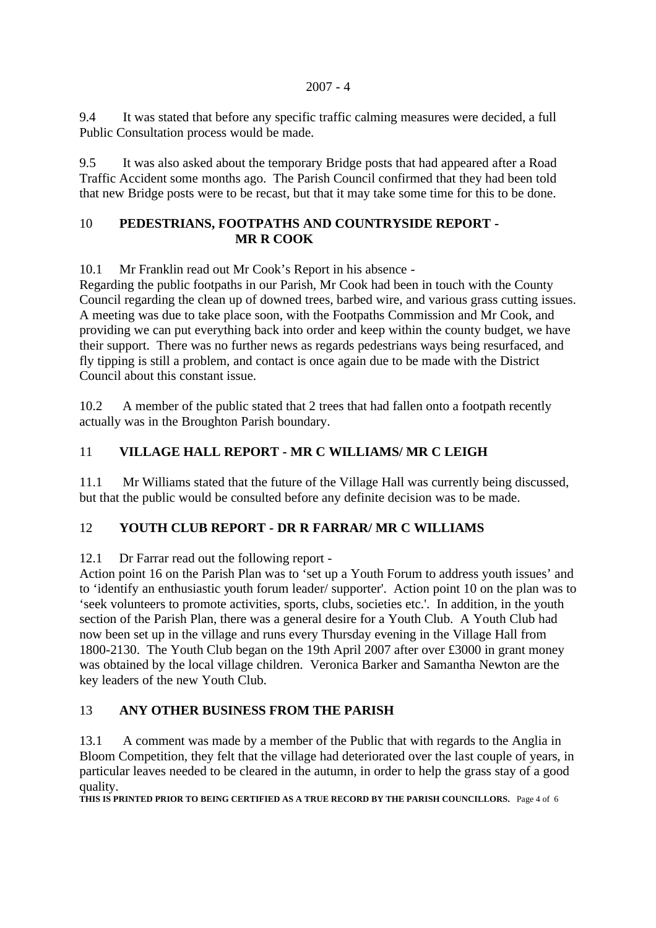9.4 It was stated that before any specific traffic calming measures were decided, a full Public Consultation process would be made.

9.5 It was also asked about the temporary Bridge posts that had appeared after a Road Traffic Accident some months ago. The Parish Council confirmed that they had been told that new Bridge posts were to be recast, but that it may take some time for this to be done.

#### 10 **PEDESTRIANS, FOOTPATHS AND COUNTRYSIDE REPORT - MR R COOK**

10.1 Mr Franklin read out Mr Cook's Report in his absence -

Regarding the public footpaths in our Parish, Mr Cook had been in touch with the County Council regarding the clean up of downed trees, barbed wire, and various grass cutting issues. A meeting was due to take place soon, with the Footpaths Commission and Mr Cook, and providing we can put everything back into order and keep within the county budget, we have their support. There was no further news as regards pedestrians ways being resurfaced, and fly tipping is still a problem, and contact is once again due to be made with the District Council about this constant issue.

10.2 A member of the public stated that 2 trees that had fallen onto a footpath recently actually was in the Broughton Parish boundary.

# 11 **VILLAGE HALL REPORT - MR C WILLIAMS/ MR C LEIGH**

11.1 Mr Williams stated that the future of the Village Hall was currently being discussed, but that the public would be consulted before any definite decision was to be made.

# 12 **YOUTH CLUB REPORT - DR R FARRAR/ MR C WILLIAMS**

12.1 Dr Farrar read out the following report -

Action point 16 on the Parish Plan was to 'set up a Youth Forum to address youth issues' and to 'identify an enthusiastic youth forum leader/ supporter'. Action point 10 on the plan was to 'seek volunteers to promote activities, sports, clubs, societies etc.'. In addition, in the youth section of the Parish Plan, there was a general desire for a Youth Club. A Youth Club had now been set up in the village and runs every Thursday evening in the Village Hall from 1800-2130. The Youth Club began on the 19th April 2007 after over £3000 in grant money was obtained by the local village children. Veronica Barker and Samantha Newton are the key leaders of the new Youth Club.

# 13 **ANY OTHER BUSINESS FROM THE PARISH**

13.1 A comment was made by a member of the Public that with regards to the Anglia in Bloom Competition, they felt that the village had deteriorated over the last couple of years, in particular leaves needed to be cleared in the autumn, in order to help the grass stay of a good quality.

**THIS IS PRINTED PRIOR TO BEING CERTIFIED AS A TRUE RECORD BY THE PARISH COUNCILLORS.** Page 4 of 6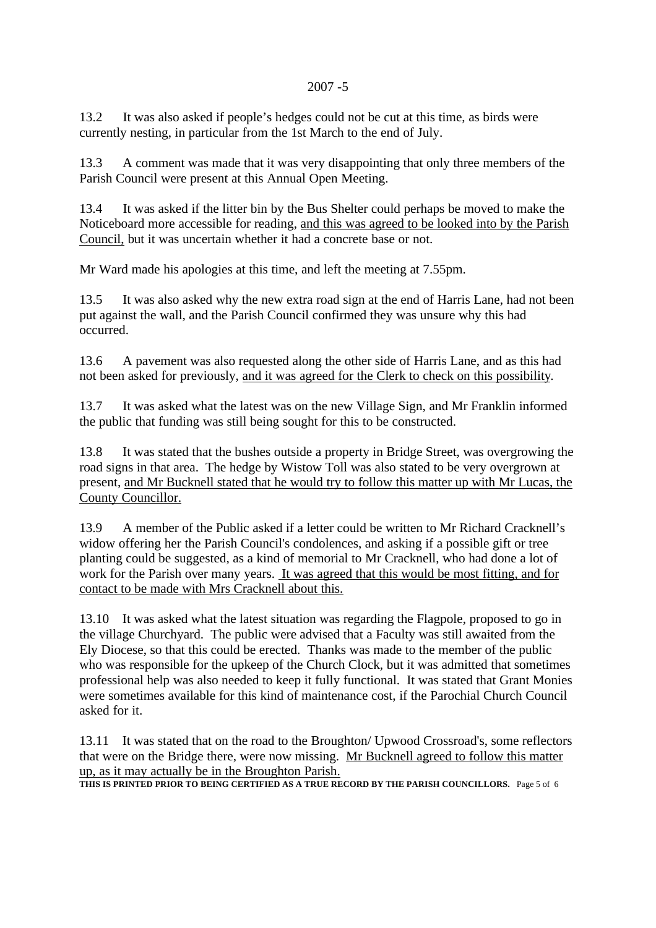#### 2007 -5

13.2 It was also asked if people's hedges could not be cut at this time, as birds were currently nesting, in particular from the 1st March to the end of July.

13.3 A comment was made that it was very disappointing that only three members of the Parish Council were present at this Annual Open Meeting.

13.4 It was asked if the litter bin by the Bus Shelter could perhaps be moved to make the Noticeboard more accessible for reading, and this was agreed to be looked into by the Parish Council, but it was uncertain whether it had a concrete base or not.

Mr Ward made his apologies at this time, and left the meeting at 7.55pm.

13.5 It was also asked why the new extra road sign at the end of Harris Lane, had not been put against the wall, and the Parish Council confirmed they was unsure why this had occurred.

13.6 A pavement was also requested along the other side of Harris Lane, and as this had not been asked for previously, and it was agreed for the Clerk to check on this possibility.

13.7 It was asked what the latest was on the new Village Sign, and Mr Franklin informed the public that funding was still being sought for this to be constructed.

13.8 It was stated that the bushes outside a property in Bridge Street, was overgrowing the road signs in that area. The hedge by Wistow Toll was also stated to be very overgrown at present, and Mr Bucknell stated that he would try to follow this matter up with Mr Lucas, the County Councillor.

13.9 A member of the Public asked if a letter could be written to Mr Richard Cracknell's widow offering her the Parish Council's condolences, and asking if a possible gift or tree planting could be suggested, as a kind of memorial to Mr Cracknell, who had done a lot of work for the Parish over many years. It was agreed that this would be most fitting, and for contact to be made with Mrs Cracknell about this.

13.10 It was asked what the latest situation was regarding the Flagpole, proposed to go in the village Churchyard. The public were advised that a Faculty was still awaited from the Ely Diocese, so that this could be erected. Thanks was made to the member of the public who was responsible for the upkeep of the Church Clock, but it was admitted that sometimes professional help was also needed to keep it fully functional. It was stated that Grant Monies were sometimes available for this kind of maintenance cost, if the Parochial Church Council asked for it.

13.11 It was stated that on the road to the Broughton/ Upwood Crossroad's, some reflectors that were on the Bridge there, were now missing. Mr Bucknell agreed to follow this matter up, as it may actually be in the Broughton Parish.

**THIS IS PRINTED PRIOR TO BEING CERTIFIED AS A TRUE RECORD BY THE PARISH COUNCILLORS.** Page 5 of 6